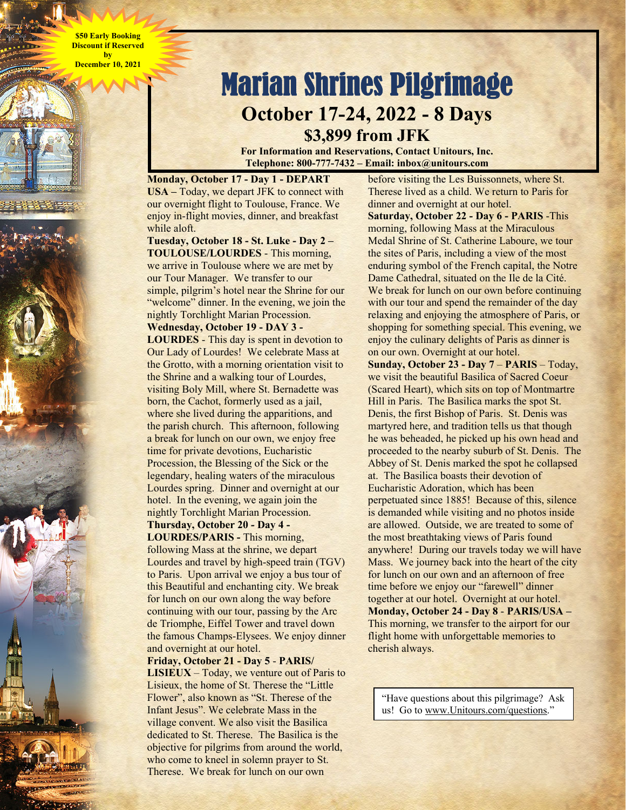**\$50 Early Booking Discount if Reserved by December 10, 2021** 



**For Information and Reservations, Contact Unitours, Inc. Telephone: 800-777-7432 – Email: inbox@unitours.com** 

**Monday, October 17 - Day 1 - DEPART USA –** Today, we depart JFK to connect with our overnight flight to Toulouse, France. We enjoy in-flight movies, dinner, and breakfast while aloft.

**Tuesday, October 18 - St. Luke - Day 2 – TOULOUSE/LOURDES** - This morning, we arrive in Toulouse where we are met by our Tour Manager. We transfer to our simple, pilgrim's hotel near the Shrine for our "welcome" dinner. In the evening, we join the nightly Torchlight Marian Procession.

**Wednesday, October 19 - DAY 3 - LOURDES** - This day is spent in devotion to Our Lady of Lourdes! We celebrate Mass at the Grotto, with a morning orientation visit to the Shrine and a walking tour of Lourdes, visiting Boly Mill, where St. Bernadette was born, the Cachot, formerly used as a jail, where she lived during the apparitions, and the parish church. This afternoon, following a break for lunch on our own, we enjoy free time for private devotions, Eucharistic Procession, the Blessing of the Sick or the legendary, healing waters of the miraculous Lourdes spring. Dinner and overnight at our

hotel. In the evening, we again join the nightly Torchlight Marian Procession. **Thursday, October 20 - Day 4 -** 

**LOURDES/PARIS -** This morning, following Mass at the shrine, we depart Lourdes and travel by high-speed train (TGV) to Paris. Upon arrival we enjoy a bus tour of this Beautiful and enchanting city. We break for lunch on our own along the way before continuing with our tour, passing by the Arc de Triomphe, Eiffel Tower and travel down the famous Champs-Elysees. We enjoy dinner and overnight at our hotel.

**Friday, October 21 - Day 5** - **PARIS/** 

**LISIEUX** – Today, we venture out of Paris to Lisieux, the home of St. Therese the "Little Flower", also known as "St. Therese of the Infant Jesus". We celebrate Mass in the village convent. We also visit the Basilica dedicated to St. Therese. The Basilica is the objective for pilgrims from around the world, who come to kneel in solemn prayer to St. Therese. We break for lunch on our own

before visiting the Les Buissonnets, where St. Therese lived as a child. We return to Paris for dinner and overnight at our hotel. **Saturday, October 22 - Day 6 - PARIS** -This morning, following Mass at the Miraculous Medal Shrine of St. Catherine Laboure, we tour the sites of Paris, including a view of the most enduring symbol of the French capital, the Notre Dame Cathedral, situated on the Ile de la Cité. We break for lunch on our own before continuing with our tour and spend the remainder of the day relaxing and enjoying the atmosphere of Paris, or shopping for something special. This evening, we enjoy the culinary delights of Paris as dinner is on our own. Overnight at our hotel. **Sunday, October 23 - Day 7** – **PARIS** – Today, we visit the beautiful Basilica of Sacred Coeur (Scared Heart), which sits on top of Montmartre Hill in Paris. The Basilica marks the spot St. Denis, the first Bishop of Paris. St. Denis was martyred here, and tradition tells us that though he was beheaded, he picked up his own head and proceeded to the nearby suburb of St. Denis. The Abbey of St. Denis marked the spot he collapsed at. The Basilica boasts their devotion of Eucharistic Adoration, which has been perpetuated since 1885! Because of this, silence is demanded while visiting and no photos inside are allowed. Outside, we are treated to some of the most breathtaking views of Paris found anywhere! During our travels today we will have Mass. We journey back into the heart of the city for lunch on our own and an afternoon of free time before we enjoy our "farewell" dinner together at our hotel. Overnight at our hotel. **Monday, October 24 - Day 8** - **PARIS/USA –**  This morning, we transfer to the airport for our flight home with unforgettable memories to cherish always.

"Have questions about this pilgrimage? Ask us! Go to www.Unitours.com/questions."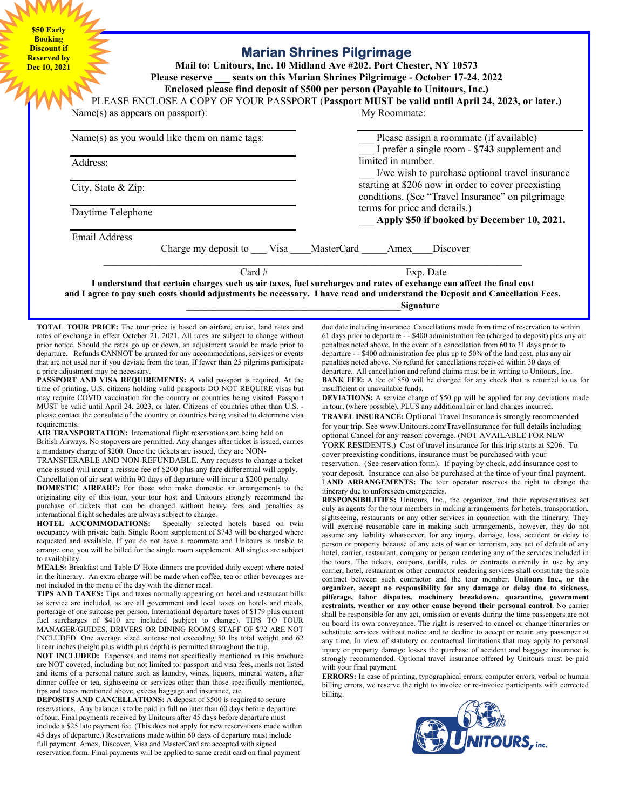**\$50 Early Booking Discount if Reserved by Dec 10, 2021** 

## **Marian Shrines Pilgrimage**

**Mail to: Unitours, Inc. 10 Midland Ave #202. Port Chester, NY 10573 Please reserve \_\_\_ seats on this Marian Shrines Pilgrimage - October 17-24, 2022 Enclosed please find deposit of \$500 per person (Payable to Unitours, Inc.)** 

PLEASE ENCLOSE A COPY OF YOUR PASSPORT (**Passport MUST be valid until April 24, 2023, or later.)** Name(s) as appears on passport): My Roommate:

| Name(s) as you would like them on name tags: | Please assign a roommate (if available)<br>I prefer a single room - \$743 supplement and |
|----------------------------------------------|------------------------------------------------------------------------------------------|
| Address:                                     | limited in number.                                                                       |
|                                              | I/we wish to purchase optional travel insurance                                          |
| City, State $&$ Zip:                         | starting at \$206 now in order to cover preexisting                                      |
|                                              | conditions. (See "Travel Insurance" on pilgrimage                                        |
| Daytime Telephone                            | terms for price and details.)                                                            |
|                                              | Apply \$50 if booked by December 10, 2021.                                               |
| Email Address                                |                                                                                          |
| Charge my deposit to Visa MasterCard         | Discover<br>Amex                                                                         |
| Card $#$                                     | Exp. Date                                                                                |

**I understand that certain charges such as air taxes, fuel surcharges and rates of exchange can affect the final cost and I agree to pay such costs should adjustments be necessary. I have read and understand the Deposit and Cancellation Fees.** \_\_\_\_\_\_\_\_\_\_\_\_\_\_\_\_\_\_\_\_\_\_\_\_\_\_\_\_\_\_\_\_\_\_\_\_\_\_\_\_\_\_**Signature**

**TOTAL TOUR PRICE:** The tour price is based on airfare, cruise, land rates and rates of exchange in effect October 21, 2021. All rates are subject to change without prior notice. Should the rates go up or down, an adjustment would be made prior to departure. Refunds CANNOT be granted for any accommodations, services or events that are not used nor if you deviate from the tour. If fewer than 25 pilgrims participate a price adjustment may be necessary.

**PASSPORT AND VISA REQUIREMENTS:** A valid passport is required. At the time of printing, U.S. citizens holding valid passports DO NOT REQUIRE visas but may require COVID vaccination for the country or countries being visited. Passport MUST be valid until April 24, 2023, or later. Citizens of countries other than U.S. please contact the consulate of the country or countries being visited to determine visa requirements.

AIR TRANSPORTATION: International flight reservations are being held on British Airways. No stopovers are permitted. Any changes after ticket is issued, carries a mandatory charge of \$200. Once the tickets are issued, they are NON-

TRANSFERABLE AND NON-REFUNDABLE. Any requests to change a ticket once issued will incur a reissue fee of \$200 plus any fare differential will apply. Cancellation of air seat within 90 days of departure will incur a \$200 penalty.

**DOMESTIC AIRFARE:** For those who make domestic air arrangements to the originating city of this tour, your tour host and Unitours strongly recommend the purchase of tickets that can be changed without heavy fees and penalties as

international flight schedules are always subject to change.<br>HOTEL ACCOMMODATIONS: Specially selecte Specially selected hotels based on twin occupancy with private bath. Single Room supplement of \$743 will be charged where requested and available. If you do not have a roommate and Unitours is unable to arrange one, you will be billed for the single room supplement. All singles are subject to availability.

**MEALS:** Breakfast and Table D' Hote dinners are provided daily except where noted in the itinerary. An extra charge will be made when coffee, tea or other beverages are not included in the menu of the day with the dinner meal.

**TIPS AND TAXES:** Tips and taxes normally appearing on hotel and restaurant bills as service are included, as are all government and local taxes on hotels and meals, porterage of one suitcase per person. International departure taxes of \$179 plus current fuel surcharges of \$410 are included (subject to change). TIPS TO TOUR MANAGER/GUIDES, DRIVERS OR DINING ROOMS STAFF OF \$72 ARE NOT INCLUDED. One average sized suitcase not exceeding 50 lbs total weight and 62 linear inches (height plus width plus depth) is permitted throughout the trip.

**NOT INCLUDED:** Expenses and items not specifically mentioned in this brochure are NOT covered, including but not limited to: passport and visa fees, meals not listed and items of a personal nature such as laundry, wines, liquors, mineral waters, after dinner coffee or tea, sightseeing or services other than those specifically mentioned, tips and taxes mentioned above, excess baggage and insurance, etc.

**DEPOSITS AND CANCELLATIONS:** A deposit of \$500 is required to secure reservations. Any balance is to be paid in full no later than 60 days before departure of tour. Final payments received **by** Unitours after 45 days before departure must include a \$25 late payment fee. (This does not apply for new reservations made within 45 days of departure.) Reservations made within 60 days of departure must include full payment. Amex, Discover, Visa and MasterCard are accepted with signed reservation form. Final payments will be applied to same credit card on final payment

due date including insurance. Cancellations made from time of reservation to within 61 days prior to departure - - \$400 administration fee (charged to deposit) plus any air penalties noted above. In the event of a cancellation from 60 to 31 days prior to departure - - \$400 administration fee plus up to 50% of the land cost, plus any air penalties noted above. No refund for cancellations received within 30 days of departure. All cancellation and refund claims must be in writing to Unitours, Inc. **BANK FEE:** A fee of \$50 will be charged for any check that is returned to us for insufficient or unavailable funds.

**DEVIATIONS:** A service charge of \$50 pp will be applied for any deviations made in tour, (where possible), PLUS any additional air or land charges incurred.

**TRAVEL INSURANCE:** Optional Travel Insurance is strongly recommended for your trip. See www.Unitours.com/TravelInsurance for full details including optional Cancel for any reason coverage. (NOT AVAILABLE FOR NEW

YORK RESIDENTS.) Cost of travel insurance for this trip starts at \$206. To cover preexisting conditions, insurance must be purchased with your

reservation. (See reservation form). If paying by check, add insurance cost to your deposit. Insurance can also be purchased at the time of your final payment. L**AND ARRANGEMENTS:** The tour operator reserves the right to change the itinerary due to unforeseen emergencies.

**RESPONSIBILITIES:** Unitours, Inc., the organizer, and their representatives act only as agents for the tour members in making arrangements for hotels, transportation, sightseeing, restaurants or any other services in connection with the itinerary. They will exercise reasonable care in making such arrangements, however, they do not assume any liability whatsoever, for any injury, damage, loss, accident or delay to person or property because of any acts of war or terrorism, any act of default of any hotel, carrier, restaurant, company or person rendering any of the services included in the tours. The tickets, coupons, tariffs, rules or contracts currently in use by any carrier, hotel, restaurant or other contractor rendering services shall constitute the sole contract between such contractor and the tour member. **Unitours Inc., or the organizer, accept no responsibility for any damage or delay due to sickness, pilferage, labor disputes, machinery breakdown, quarantine, government restraints, weather or any other cause beyond their personal control**. No carrier shall be responsible for any act, omission or events during the time passengers are not on board its own conveyance. The right is reserved to cancel or change itineraries or substitute services without notice and to decline to accept or retain any passenger at any time. In view of statutory or contractual limitations that may apply to personal injury or property damage losses the purchase of accident and baggage insurance is strongly recommended. Optional travel insurance offered by Unitours must be paid with your final payment.

**ERRORS:** In case of printing, typographical errors, computer errors, verbal or human billing errors, we reserve the right to invoice or re-invoice participants with corrected billing.